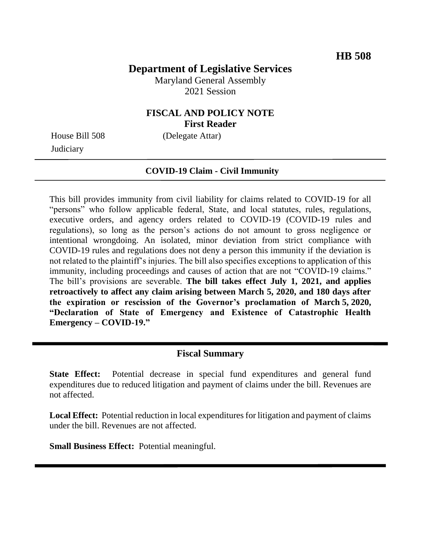# **Department of Legislative Services**

Maryland General Assembly 2021 Session

# **FISCAL AND POLICY NOTE First Reader**

**Judiciary** 

House Bill 508 (Delegate Attar)

#### **COVID-19 Claim - Civil Immunity**

This bill provides immunity from civil liability for claims related to COVID-19 for all "persons" who follow applicable federal, State, and local statutes, rules, regulations, executive orders, and agency orders related to COVID-19 (COVID-19 rules and regulations), so long as the person's actions do not amount to gross negligence or intentional wrongdoing. An isolated, minor deviation from strict compliance with COVID-19 rules and regulations does not deny a person this immunity if the deviation is not related to the plaintiff's injuries. The bill also specifies exceptions to application of this immunity, including proceedings and causes of action that are not "COVID-19 claims." The bill's provisions are severable. **The bill takes effect July 1, 2021, and applies retroactively to affect any claim arising between March 5, 2020, and 180 days after the expiration or rescission of the Governor's proclamation of March 5, 2020, "Declaration of State of Emergency and Existence of Catastrophic Health Emergency – COVID-19."**

### **Fiscal Summary**

**State Effect:** Potential decrease in special fund expenditures and general fund expenditures due to reduced litigation and payment of claims under the bill. Revenues are not affected.

**Local Effect:** Potential reduction in local expenditures for litigation and payment of claims under the bill. Revenues are not affected.

**Small Business Effect:** Potential meaningful.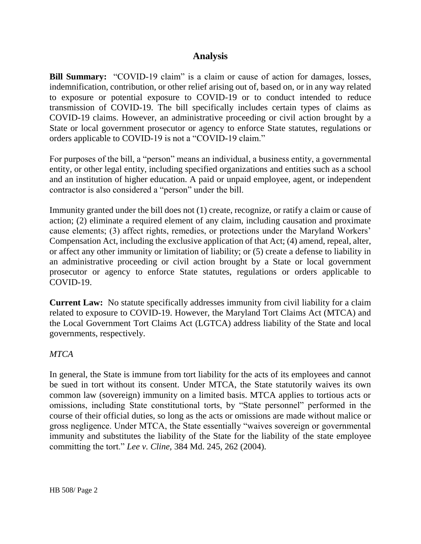# **Analysis**

**Bill Summary:** "COVID-19 claim" is a claim or cause of action for damages, losses, indemnification, contribution, or other relief arising out of, based on, or in any way related to exposure or potential exposure to COVID-19 or to conduct intended to reduce transmission of COVID-19. The bill specifically includes certain types of claims as COVID-19 claims. However, an administrative proceeding or civil action brought by a State or local government prosecutor or agency to enforce State statutes, regulations or orders applicable to COVID-19 is not a "COVID-19 claim."

For purposes of the bill, a "person" means an individual, a business entity, a governmental entity, or other legal entity, including specified organizations and entities such as a school and an institution of higher education. A paid or unpaid employee, agent, or independent contractor is also considered a "person" under the bill.

Immunity granted under the bill does not (1) create, recognize, or ratify a claim or cause of action; (2) eliminate a required element of any claim, including causation and proximate cause elements; (3) affect rights, remedies, or protections under the Maryland Workers' Compensation Act, including the exclusive application of that Act; (4) amend, repeal, alter, or affect any other immunity or limitation of liability; or (5) create a defense to liability in an administrative proceeding or civil action brought by a State or local government prosecutor or agency to enforce State statutes, regulations or orders applicable to COVID-19.

**Current Law:** No statute specifically addresses immunity from civil liability for a claim related to exposure to COVID-19. However, the Maryland Tort Claims Act (MTCA) and the Local Government Tort Claims Act (LGTCA) address liability of the State and local governments, respectively.

### *MTCA*

In general, the State is immune from tort liability for the acts of its employees and cannot be sued in tort without its consent. Under MTCA, the State statutorily waives its own common law (sovereign) immunity on a limited basis. MTCA applies to tortious acts or omissions, including State constitutional torts, by "State personnel" performed in the course of their official duties, so long as the acts or omissions are made without malice or gross negligence. Under MTCA, the State essentially "waives sovereign or governmental immunity and substitutes the liability of the State for the liability of the state employee committing the tort." *Lee v. Cline,* 384 Md. 245, 262 (2004).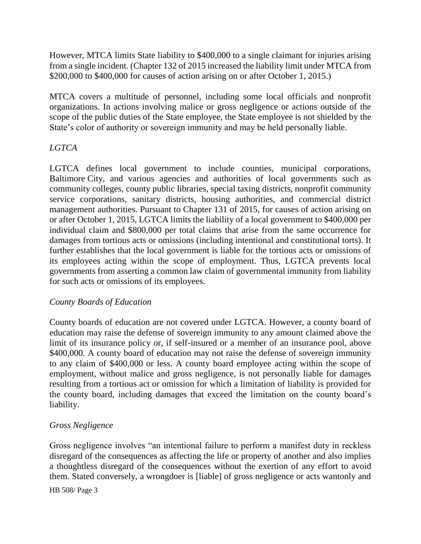However, MTCA limits State liability to \$400,000 to a single claimant for injuries arising from a single incident. (Chapter 132 of 2015 increased the liability limit under MTCA from \$200,000 to \$400,000 for causes of action arising on or after October 1, 2015.)

MTCA covers a multitude of personnel, including some local officials and nonprofit organizations. In actions involving malice or gross negligence or actions outside of the scope of the public duties of the State employee, the State employee is not shielded by the State's color of authority or sovereign immunity and may be held personally liable.

### *LGTCA*

LGTCA defines local government to include counties, municipal corporations, Baltimore City, and various agencies and authorities of local governments such as community colleges, county public libraries, special taxing districts, nonprofit community service corporations, sanitary districts, housing authorities, and commercial district management authorities. Pursuant to Chapter 131 of 2015, for causes of action arising on or after October 1, 2015, LGTCA limits the liability of a local government to \$400,000 per individual claim and \$800,000 per total claims that arise from the same occurrence for damages from tortious acts or omissions (including intentional and constitutional torts). It further establishes that the local government is liable for the tortious acts or omissions of its employees acting within the scope of employment. Thus, LGTCA prevents local governments from asserting a common law claim of governmental immunity from liability for such acts or omissions of its employees.

### *County Boards of Education*

County boards of education are not covered under LGTCA. However, a county board of education may raise the defense of sovereign immunity to any amount claimed above the limit of its insurance policy or, if self-insured or a member of an insurance pool, above \$400,000. A county board of education may not raise the defense of sovereign immunity to any claim of \$400,000 or less. A county board employee acting within the scope of employment, without malice and gross negligence, is not personally liable for damages resulting from a tortious act or omission for which a limitation of liability is provided for the county board, including damages that exceed the limitation on the county board's liability.

# *Gross Negligence*

Gross negligence involves "an intentional failure to perform a manifest duty in reckless disregard of the consequences as affecting the life or property of another and also implies a thoughtless disregard of the consequences without the exertion of any effort to avoid them. Stated conversely, a wrongdoer is [liable] of gross negligence or acts wantonly and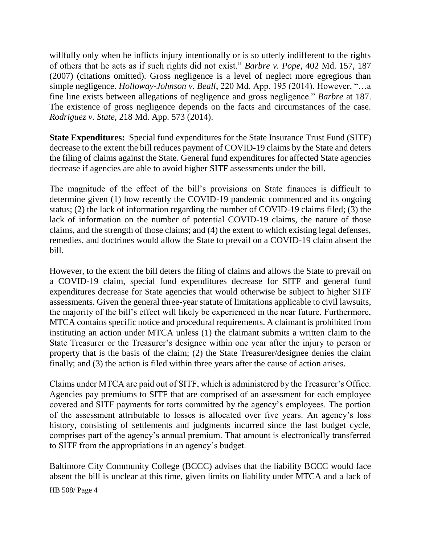willfully only when he inflicts injury intentionally or is so utterly indifferent to the rights of others that he acts as if such rights did not exist." *Barbre v. Pope*, 402 Md. 157, 187 (2007) (citations omitted). Gross negligence is a level of neglect more egregious than simple negligence. *Holloway-Johnson v. Beall*, 220 Md. App. 195 (2014). However, "…a fine line exists between allegations of negligence and gross negligence." *Barbre* at 187. The existence of gross negligence depends on the facts and circumstances of the case. *Rodriguez v. State*, 218 Md. App. 573 (2014).

**State Expenditures:** Special fund expenditures for the State Insurance Trust Fund (SITF) decrease to the extent the bill reduces payment of COVID-19 claims by the State and deters the filing of claims against the State. General fund expenditures for affected State agencies decrease if agencies are able to avoid higher SITF assessments under the bill.

The magnitude of the effect of the bill's provisions on State finances is difficult to determine given (1) how recently the COVID-19 pandemic commenced and its ongoing status; (2) the lack of information regarding the number of COVID-19 claims filed; (3) the lack of information on the number of potential COVID-19 claims, the nature of those claims, and the strength of those claims; and (4) the extent to which existing legal defenses, remedies, and doctrines would allow the State to prevail on a COVID-19 claim absent the bill.

However, to the extent the bill deters the filing of claims and allows the State to prevail on a COVID-19 claim, special fund expenditures decrease for SITF and general fund expenditures decrease for State agencies that would otherwise be subject to higher SITF assessments. Given the general three-year statute of limitations applicable to civil lawsuits, the majority of the bill's effect will likely be experienced in the near future. Furthermore, MTCA contains specific notice and procedural requirements. A claimant is prohibited from instituting an action under MTCA unless (1) the claimant submits a written claim to the State Treasurer or the Treasurer's designee within one year after the injury to person or property that is the basis of the claim; (2) the State Treasurer/designee denies the claim finally; and (3) the action is filed within three years after the cause of action arises.

Claims under MTCA are paid out of SITF, which is administered by the Treasurer's Office. Agencies pay premiums to SITF that are comprised of an assessment for each employee covered and SITF payments for torts committed by the agency's employees. The portion of the assessment attributable to losses is allocated over five years. An agency's loss history, consisting of settlements and judgments incurred since the last budget cycle, comprises part of the agency's annual premium. That amount is electronically transferred to SITF from the appropriations in an agency's budget.

Baltimore City Community College (BCCC) advises that the liability BCCC would face absent the bill is unclear at this time, given limits on liability under MTCA and a lack of

HB 508/ Page 4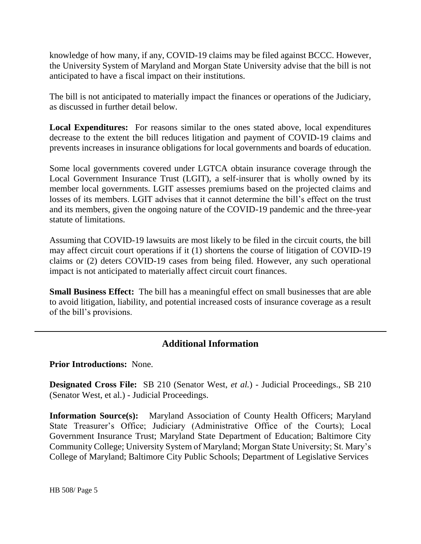knowledge of how many, if any, COVID-19 claims may be filed against BCCC. However, the University System of Maryland and Morgan State University advise that the bill is not anticipated to have a fiscal impact on their institutions.

The bill is not anticipated to materially impact the finances or operations of the Judiciary, as discussed in further detail below.

**Local Expenditures:** For reasons similar to the ones stated above, local expenditures decrease to the extent the bill reduces litigation and payment of COVID-19 claims and prevents increases in insurance obligations for local governments and boards of education.

Some local governments covered under LGTCA obtain insurance coverage through the Local Government Insurance Trust (LGIT), a self-insurer that is wholly owned by its member local governments. LGIT assesses premiums based on the projected claims and losses of its members. LGIT advises that it cannot determine the bill's effect on the trust and its members, given the ongoing nature of the COVID-19 pandemic and the three-year statute of limitations.

Assuming that COVID-19 lawsuits are most likely to be filed in the circuit courts, the bill may affect circuit court operations if it (1) shortens the course of litigation of COVID-19 claims or (2) deters COVID-19 cases from being filed. However, any such operational impact is not anticipated to materially affect circuit court finances.

**Small Business Effect:** The bill has a meaningful effect on small businesses that are able to avoid litigation, liability, and potential increased costs of insurance coverage as a result of the bill's provisions.

# **Additional Information**

#### **Prior Introductions:** None.

**Designated Cross File:** SB 210 (Senator West, *et al.*) - Judicial Proceedings., SB 210 (Senator West, et al.) - Judicial Proceedings.

**Information Source(s):** Maryland Association of County Health Officers; Maryland State Treasurer's Office; Judiciary (Administrative Office of the Courts); Local Government Insurance Trust; Maryland State Department of Education; Baltimore City Community College; University System of Maryland; Morgan State University; St. Mary's College of Maryland; Baltimore City Public Schools; Department of Legislative Services